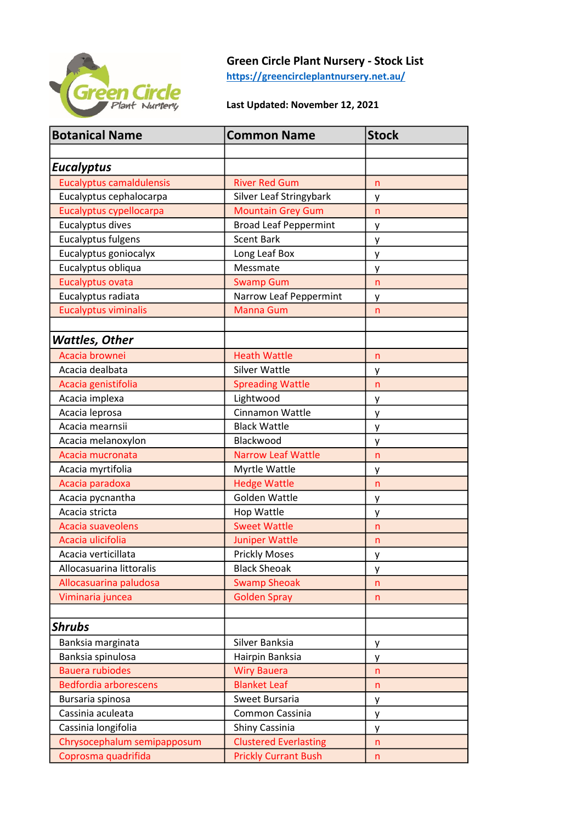

## Green Circle Plant Nursery - Stock List

https://greencircleplantnursery.net.au/

## Last Updated: November 12, 2021

| <b>Botanical Name</b>           | <b>Common Name</b>           | <b>Stock</b> |
|---------------------------------|------------------------------|--------------|
|                                 |                              |              |
| <b>Eucalyptus</b>               |                              |              |
| <b>Eucalyptus camaldulensis</b> | <b>River Red Gum</b>         | n            |
| Eucalyptus cephalocarpa         | Silver Leaf Stringybark      | у            |
| Eucalyptus cypellocarpa         | <b>Mountain Grey Gum</b>     | n            |
| Eucalyptus dives                | <b>Broad Leaf Peppermint</b> | у            |
| Eucalyptus fulgens              | <b>Scent Bark</b>            | у            |
| Eucalyptus goniocalyx           | Long Leaf Box                | у            |
| Eucalyptus obliqua              | Messmate                     | у            |
| Eucalyptus ovata                | <b>Swamp Gum</b>             | n            |
| Eucalyptus radiata              | Narrow Leaf Peppermint       | у            |
| <b>Eucalyptus viminalis</b>     | <b>Manna Gum</b>             | n            |
|                                 |                              |              |
| Wattles, Other                  |                              |              |
| Acacia brownei                  | <b>Heath Wattle</b>          | n            |
| Acacia dealbata                 | <b>Silver Wattle</b>         | у            |
| Acacia genistifolia             | <b>Spreading Wattle</b>      | n            |
| Acacia implexa                  | Lightwood                    | у            |
| Acacia leprosa                  | Cinnamon Wattle              | у            |
| Acacia mearnsii                 | <b>Black Wattle</b>          | у            |
| Acacia melanoxylon              | Blackwood                    | у            |
| Acacia mucronata                | <b>Narrow Leaf Wattle</b>    | n            |
| Acacia myrtifolia               | Myrtle Wattle                | у            |
| Acacia paradoxa                 | <b>Hedge Wattle</b>          | n            |
| Acacia pycnantha                | Golden Wattle                | у            |
| Acacia stricta                  | Hop Wattle                   | у            |
| Acacia suaveolens               | <b>Sweet Wattle</b>          | n            |
| Acacia ulicifolia               | <b>Juniper Wattle</b>        | n            |
| Acacia verticillata             | <b>Prickly Moses</b>         | у            |
| Allocasuarina littoralis        | <b>Black Sheoak</b>          | у            |
| Allocasuarina paludosa          | <b>Swamp Sheoak</b>          | n            |
| Viminaria juncea                | <b>Golden Spray</b>          | n            |
|                                 |                              |              |
| <b>Shrubs</b>                   |                              |              |
| Banksia marginata               | Silver Banksia               | у            |
| Banksia spinulosa               | Hairpin Banksia              | у            |
| <b>Bauera rubiodes</b>          | <b>Wiry Bauera</b>           | n            |
| <b>Bedfordia arborescens</b>    | <b>Blanket Leaf</b>          | n            |
| Bursaria spinosa                | Sweet Bursaria               | y            |
| Cassinia aculeata               | Common Cassinia              | у            |
| Cassinia longifolia             | Shiny Cassinia               | y            |
| Chrysocephalum semipapposum     | <b>Clustered Everlasting</b> | n            |
| Coprosma quadrifida             | <b>Prickly Currant Bush</b>  | n.           |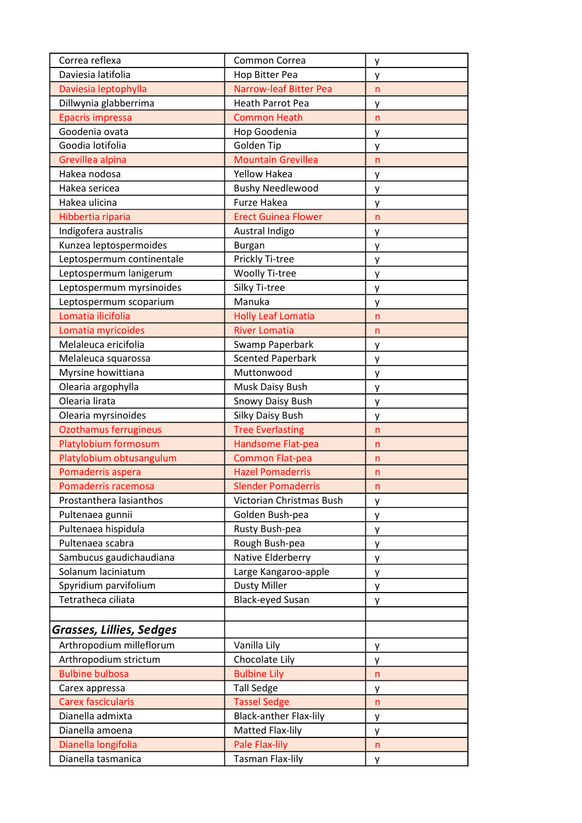| Correa reflexa            | Common Correa                 | y                 |
|---------------------------|-------------------------------|-------------------|
| Daviesia latifolia        | Hop Bitter Pea                | у                 |
| Daviesia leptophylla      | <b>Narrow-leaf Bitter Pea</b> | n                 |
| Dillwynia glabberrima     | <b>Heath Parrot Pea</b>       | y                 |
| Epacris impressa          | <b>Common Heath</b>           | n                 |
| Goodenia ovata            | Hop Goodenia                  | у                 |
| Goodia lotifolia          | Golden Tip                    | у                 |
| Grevillea alpina          | <b>Mountain Grevillea</b>     | $\mathsf{n}$      |
| Hakea nodosa              | <b>Yellow Hakea</b>           | у                 |
| Hakea sericea             | <b>Bushy Needlewood</b>       | у                 |
| Hakea ulicina             | Furze Hakea                   | у                 |
| Hibbertia riparia         | <b>Erect Guinea Flower</b>    | $\mathsf{n}$      |
| Indigofera australis      | Austral Indigo                | y                 |
| Kunzea leptospermoides    | <b>Burgan</b>                 | у                 |
| Leptospermum continentale | Prickly Ti-tree               | у                 |
| Leptospermum lanigerum    | <b>Woolly Ti-tree</b>         | у                 |
| Leptospermum myrsinoides  | Silky Ti-tree                 | у                 |
| Leptospermum scoparium    | Manuka                        | у                 |
| Lomatia ilicifolia        | <b>Holly Leaf Lomatia</b>     | n                 |
| Lomatia myricoides        | <b>River Lomatia</b>          | n                 |
| Melaleuca ericifolia      | Swamp Paperbark               | у                 |
| Melaleuca squarossa       | <b>Scented Paperbark</b>      | у                 |
| Myrsine howittiana        | Muttonwood                    | у                 |
| Olearia argophylla        | Musk Daisy Bush               | у                 |
| Olearia lirata            | Snowy Daisy Bush              | у                 |
| Olearia myrsinoides       | Silky Daisy Bush              | у                 |
| Ozothamus ferrugineus     | <b>Tree Everlasting</b>       | $\mathsf{n}$      |
| Platylobium formosum      | Handsome Flat-pea             | n                 |
| Platylobium obtusangulum  | <b>Common Flat-pea</b>        | n                 |
| Pomaderris aspera         | <b>Hazel Pomaderris</b>       | n                 |
| Pomaderris racemosa       | <b>Slender Pomaderris</b>     | n                 |
| Prostanthera lasianthos   | Victorian Christmas Bush      | y                 |
| Pultenaea gunnii          | Golden Bush-pea               | у                 |
| Pultenaea hispidula       | Rusty Bush-pea                | y                 |
| Pultenaea scabra          | Rough Bush-pea                | у                 |
| Sambucus gaudichaudiana   | Native Elderberry             | у                 |
| Solanum laciniatum        | Large Kangaroo-apple          | y                 |
| Spyridium parvifolium     | <b>Dusty Miller</b>           | y                 |
| Tetratheca ciliata        | <b>Black-eyed Susan</b>       | y                 |
|                           |                               |                   |
| Grasses, Lillies, Sedges  |                               |                   |
| Arthropodium milleflorum  | Vanilla Lily                  | y                 |
| Arthropodium strictum     | Chocolate Lily                | у                 |
| <b>Bulbine bulbosa</b>    | <b>Bulbine Lily</b>           | $\mathsf{n}$      |
| Carex appressa            | <b>Tall Sedge</b>             |                   |
| <b>Carex fascicularis</b> | <b>Tassel Sedge</b>           | y<br>$\mathsf{n}$ |
| Dianella admixta          | <b>Black-anther Flax-lily</b> |                   |
| Dianella amoena           | Matted Flax-lily              | y                 |
| Dianella longifolia       | Pale Flax-lily                | у<br>n            |
| Dianella tasmanica        | <b>Tasman Flax-lily</b>       |                   |
|                           |                               | y                 |